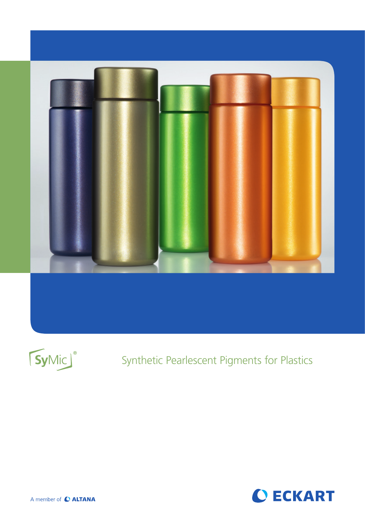



## Synthetic Pearlescent Pigments for Plastics



A member of C ALTANA